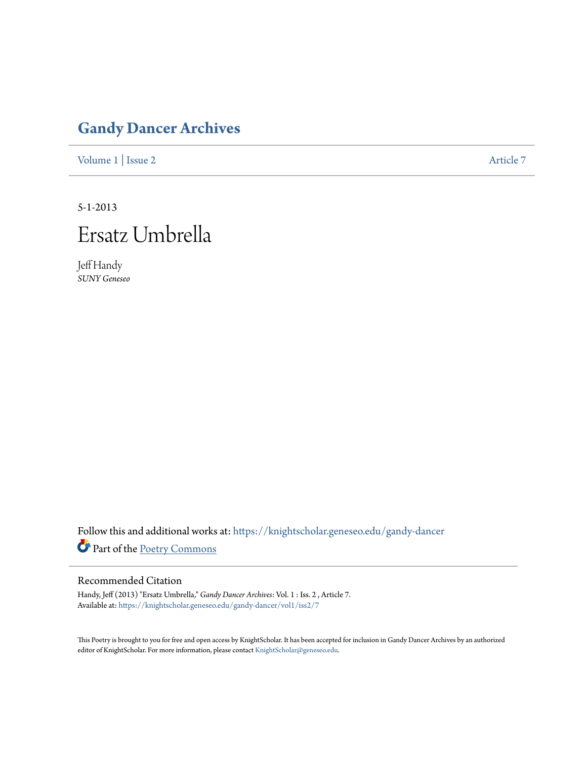## **[Gandy Dancer Archives](https://knightscholar.geneseo.edu/gandy-dancer?utm_source=knightscholar.geneseo.edu%2Fgandy-dancer%2Fvol1%2Fiss2%2F7&utm_medium=PDF&utm_campaign=PDFCoverPages)**

[Volume 1](https://knightscholar.geneseo.edu/gandy-dancer/vol1?utm_source=knightscholar.geneseo.edu%2Fgandy-dancer%2Fvol1%2Fiss2%2F7&utm_medium=PDF&utm_campaign=PDFCoverPages) | [Issue 2](https://knightscholar.geneseo.edu/gandy-dancer/vol1/iss2?utm_source=knightscholar.geneseo.edu%2Fgandy-dancer%2Fvol1%2Fiss2%2F7&utm_medium=PDF&utm_campaign=PDFCoverPages) [Article 7](https://knightscholar.geneseo.edu/gandy-dancer/vol1/iss2/7?utm_source=knightscholar.geneseo.edu%2Fgandy-dancer%2Fvol1%2Fiss2%2F7&utm_medium=PDF&utm_campaign=PDFCoverPages)

5-1-2013

## Ersatz Umbrella

Jeff Handy *SUNY Geneseo*

Follow this and additional works at: [https://knightscholar.geneseo.edu/gandy-dancer](https://knightscholar.geneseo.edu/gandy-dancer?utm_source=knightscholar.geneseo.edu%2Fgandy-dancer%2Fvol1%2Fiss2%2F7&utm_medium=PDF&utm_campaign=PDFCoverPages) Part of the [Poetry Commons](http://network.bepress.com/hgg/discipline/1153?utm_source=knightscholar.geneseo.edu%2Fgandy-dancer%2Fvol1%2Fiss2%2F7&utm_medium=PDF&utm_campaign=PDFCoverPages)

## Recommended Citation

Handy, Jeff (2013) "Ersatz Umbrella," *Gandy Dancer Archives*: Vol. 1 : Iss. 2 , Article 7. Available at: [https://knightscholar.geneseo.edu/gandy-dancer/vol1/iss2/7](https://knightscholar.geneseo.edu/gandy-dancer/vol1/iss2/7?utm_source=knightscholar.geneseo.edu%2Fgandy-dancer%2Fvol1%2Fiss2%2F7&utm_medium=PDF&utm_campaign=PDFCoverPages)

This Poetry is brought to you for free and open access by KnightScholar. It has been accepted for inclusion in Gandy Dancer Archives by an authorized editor of KnightScholar. For more information, please contact [KnightScholar@geneseo.edu.](mailto:KnightScholar@geneseo.edu)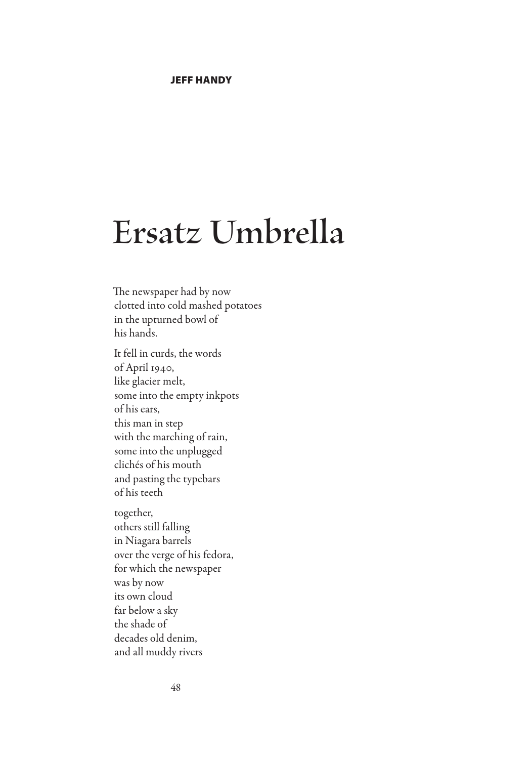## **Ersatz Umbrella**

The newspaper had by now clotted into cold mashed potatoes in the upturned bowl of his hands.

It fell in curds, the words of April 1940, like glacier melt, some into the empty inkpots of his ears, this man in step with the marching of rain, some into the unplugged clichés of his mouth and pasting the typebars of his teeth together, others still falling in Niagara barrels

over the verge of his fedora, for which the newspaper was by now its own cloud far below a sky the shade of decades old denim, and all muddy rivers